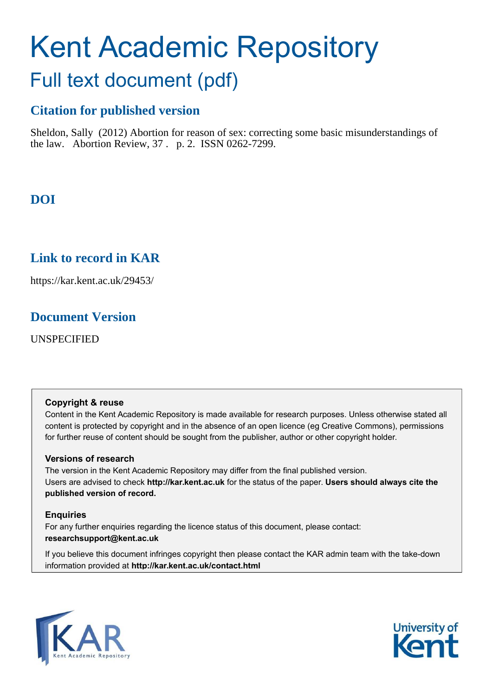# Kent Academic Repository

# Full text document (pdf)

# **Citation for published version**

Sheldon, Sally (2012) Abortion for reason of sex: correcting some basic misunderstandings of the law. Abortion Review, 37 . p. 2. ISSN 0262-7299.

# **DOI**

# **Link to record in KAR**

https://kar.kent.ac.uk/29453/

# **Document Version**

UNSPECIFIED

# **Copyright & reuse**

Content in the Kent Academic Repository is made available for research purposes. Unless otherwise stated all content is protected by copyright and in the absence of an open licence (eg Creative Commons), permissions for further reuse of content should be sought from the publisher, author or other copyright holder.

# **Versions of research**

The version in the Kent Academic Repository may differ from the final published version. Users are advised to check **http://kar.kent.ac.uk** for the status of the paper. **Users should always cite the published version of record.**

# **Enquiries**

For any further enquiries regarding the licence status of this document, please contact: **researchsupport@kent.ac.uk**

If you believe this document infringes copyright then please contact the KAR admin team with the take-down information provided at **http://kar.kent.ac.uk/contact.html**



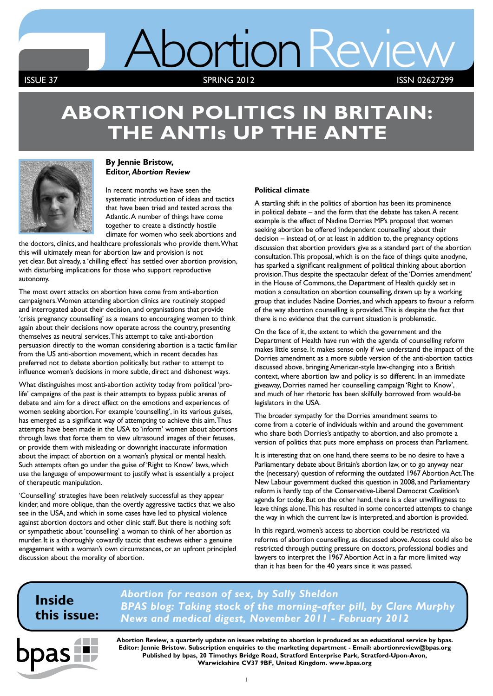# AbortionReview

**ISSUE 37** SPRING 2012

ISSN 02627299

# **ABORTION POLITICS IN BRITAIN: THE ANTIs UP THE ANTE**



# **By Jennie Bristow, Editor,** *Abortion Review*

In recent months we have seen the systematic introduction of ideas and tactics that have been tried and tested across the Atlantic. A number of things have come together to create a distinctly hostile climate for women who seek abortions and

the doctors, clinics, and healthcare professionals who provide them. What this will ultimately mean for abortion law and provision is not yet clear. But already, a 'chilling effect' has settled over abortion provision, with disturbing implications for those who support reproductive autonomy.

The most overt attacks on abortion have come from anti-abortion campaigners. Women attending abortion clinics are routinely stopped and interrogated about their decision, and organisations that provide 'crisis pregnancy counselling' as a means to encouraging women to think again about their decisions now operate across the country, presenting themselves as neutral services. This attempt to take anti-abortion persuasion directly to the woman considering abortion is a tactic familiar from the US anti-abortion movement, which in recent decades has preferred not to debate abortion politically, but rather to attempt to influence women's decisions in more subtle, direct and dishonest ways.

What distinguishes most anti-abortion activity today from political 'prolife' campaigns of the past is their attempts to bypass public arenas of debate and aim for a direct effect on the emotions and experiences of women seeking abortion. For example 'counselling', in its various guises, has emerged as a significant way of attempting to achieve this aim. Thus attempts have been made in the USA to 'inform' women about abortions through laws that force them to view ultrasound images of their fetuses, or provide them with misleading or downright inaccurate information about the impact of abortion on a woman's physical or mental health. Such attempts often go under the guise of 'Right to Know' laws, which use the language of empowerment to justify what is essentially a project of therapeutic manipulation.

'Counselling' strategies have been relatively successful as they appear kinder, and more oblique, than the overtly aggressive tactics that we also see in the USA, and which in some cases have led to physical violence against abortion doctors and other clinic staff. But there is nothing soft or sympathetic about 'counselling' a woman to think of her abortion as murder. It is a thoroughly cowardly tactic that eschews either a genuine engagement with a woman's own circumstances, or an upfront principled discussion about the morality of abortion.

# **Political climate**

A startling shift in the politics of abortion has been its prominence in political debate – and the form that the debate has taken. A recent example is the effect of Nadine Dorries MP's proposal that women seeking abortion be offered 'independent counselling' about their decision – instead of, or at least in addition to, the pregnancy options discussion that abortion providers give as a standard part of the abortion consultation. This proposal, which is on the face of things quite anodyne, has sparked a significant realignment of political thinking about abortion provision. Thus despite the spectacular defeat of the 'Dorries amendment' in the House of Commons, the Department of Health quickly set in motion a consultation on abortion counselling, drawn up by a working group that includes Nadine Dorries, and which appears to favour a reform of the way abortion counselling is provided. This is despite the fact that there is no evidence that the current situation is problematic.

On the face of it, the extent to which the government and the Department of Health have run with the agenda of counselling reform makes little sense. It makes sense only if we understand the impact of the Dorries amendment as a more subtle version of the anti-abortion tactics discussed above, bringing American-style law-changing into a British context, where abortion law and policy is so different. In an immediate giveaway, Dorries named her counselling campaign 'Right to Know', and much of her rhetoric has been skilfully borrowed from would-be legislators in the USA.

The broader sympathy for the Dorries amendment seems to come from a coterie of individuals within and around the government who share both Dorries's antipathy to abortion, and also promote a version of politics that puts more emphasis on process than Parliament.

It is interesting that on one hand, there seems to be no desire to have a Parliamentary debate about Britain's abortion law, or to go anyway near the (necessary) question of reforming the outdated 1967 Abortion Act. The New Labour government ducked this question in 2008, and Parliamentary reform is hardly top of the Conservative-Liberal Democrat Coalition's agenda for today. But on the other hand, there is a clear unwillingness to leave things alone. This has resulted in some concerted attempts to change the way in which the current law is interpreted, and abortion is provided.

In this regard, women's access to abortion could be restricted via reforms of abortion counselling, as discussed above. Access could also be restricted through putting pressure on doctors, professional bodies and lawyers to interpret the 1967 Abortion Act in a far more limited way than it has been for the 40 years since it was passed.

# **Inside this issue:**

*Abortion for reason of sex, by Sally Sheldon BPAS blog: Taking stock of the morning-after pill, by Clare Murphy News and medical digest, November 2011 - February 2012*



**Abortion Review, a quarterly update on issues relating to abortion is produced as an educational service by bpas. Editor: Jennie Bristow. Subscription enquiries to the marketing department - Email: abortionreview@bpas.org Published by bpas, 20 Timothys Bridge Road, Stratford Enterprise Park, Stratford-Upon-Avon, Warwickshire CV37 9BF, United Kingdom. www.bpas.org**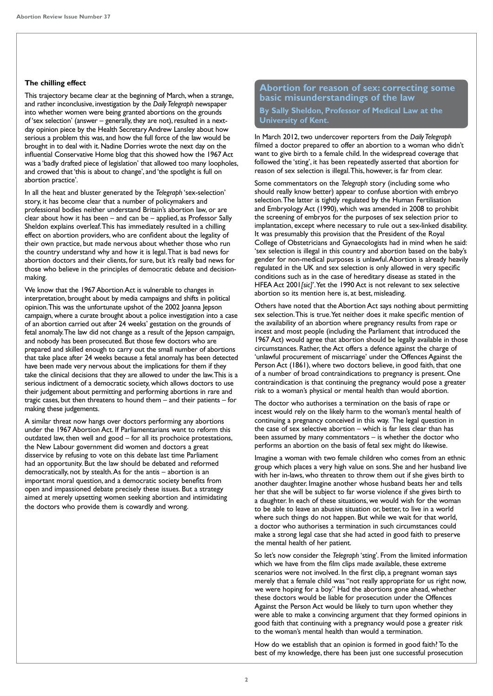# **The chilling effect**

This trajectory became clear at the beginning of March, when a strange, and rather inconclusive, investigation by the *Daily Telegraph* newspaper into whether women were being granted abortions on the grounds of 'sex selection' (answer – generally, they are not), resulted in a nextday opinion piece by the Health Secretary Andrew Lansley about how serious a problem this was, and how the full force of the law would be brought in to deal with it. Nadine Dorries wrote the next day on the influential Conservative Home blog that this showed how the 1967 Act was a 'badly drafted piece of legislation' that allowed too many loopholes, and crowed that 'this is about to change', and 'the spotlight is full on abortion practice'.

In all the heat and bluster generated by the *Telegraph* 'sex-selection' story, it has become clear that a number of policymakers and professional bodies neither understand Britain's abortion law, or are clear about how it has been – and can be – applied, as Professor Sally Sheldon explains overleaf. This has immediately resulted in a chilling effect on abortion providers, who are confident about the legality of their own practice, but made nervous about whether those who run the country understand why and how it is legal. That is bad news for abortion doctors and their clients, for sure, but it's really bad news for those who believe in the principles of democratic debate and decisionmaking.

We know that the 1967 Abortion Act is vulnerable to changes in interpretation, brought about by media campaigns and shifts in political opinion. This was the unfortunate upshot of the 2002 Joanna Jepson campaign, where a curate brought about a police investigation into a case of an abortion carried out after 24 weeks' gestation on the grounds of fetal anomaly. The law did not change as a result of the lepson campaign, and nobody has been prosecuted. But those few doctors who are prepared and skilled enough to carry out the small number of abortions that take place after 24 weeks because a fetal anomaly has been detected have been made very nervous about the implications for them if they take the clinical decisions that they are allowed to under the law. This is a serious indictment of a democratic society, which allows doctors to use their judgement about permitting and performing abortions in rare and tragic cases, but then threatens to hound them – and their patients – for making these judgements.

A similar threat now hangs over doctors performing any abortions under the 1967 Abortion Act. If Parliamentarians want to reform this outdated law, then well and good – for all its prochoice protestations, the New Labour government did women and doctors a great disservice by refusing to vote on this debate last time Parliament had an opportunity. But the law should be debated and reformed democratically, not by stealth. As for the antis – abortion is an important moral question, and a democratic society benefits from open and impassioned debate precisely these issues. But a strategy aimed at merely upsetting women seeking abortion and intimidating the doctors who provide them is cowardly and wrong.

# **Abortion for reason of sex: correcting some basic misunderstandings of the law**

# **By Sally Sheldon, Professor of Medical Law at the University of Kent.**

In March 2012, two undercover reporters from the *Daily Telegraph* filmed a doctor prepared to offer an abortion to a woman who didn't want to give birth to a female child. In the widespread coverage that followed the 'sting', it has been repeatedly asserted that abortion for reason of sex selection is illegal. This, however, is far from clear.

Some commentators on the *Telegraph* story (including some who should really know better) appear to confuse abortion with embryo selection. The latter is tightly regulated by the Human Fertilisation and Embryology Act (1990), which was amended in 2008 to prohibit the screening of embryos for the purposes of sex selection prior to implantation, except where necessary to rule out a sex-linked disability. It was presumably this provision that the President of the Royal College of Obstetricians and Gynaecologists had in mind when he said: 'sex selection is illegal in this country and abortion based on the baby's gender for non-medical purposes is unlawful. Abortion is already heavily regulated in the UK and sex selection is only allowed in very specific conditions such as in the case of hereditary disease as stated in the HFEA Act 2001*[sic]*'. Yet the 1990 Act is not relevant to sex selective abortion so its mention here is, at best, misleading.

Others have noted that the Abortion Act says nothing about permitting sex selection. This is true. Yet neither does it make specific mention of the availability of an abortion where pregnancy results from rape or incest and most people (including the Parliament that introduced the 1967 Act) would agree that abortion should be legally available in those circumstances. Rather, the Act offers a defence against the charge of 'unlawful procurement of miscarriage' under the Offences Against the Person Act (1861), where two doctors believe, in good faith, that one of a number of broad contraindications to pregnancy is present. One contraindication is that continuing the pregnancy would pose a greater risk to a woman's physical or mental health than would abortion.

The doctor who authorises a termination on the basis of rape or incest would rely on the likely harm to the woman's mental health of continuing a pregnancy conceived in this way. The legal question in the case of sex selective abortion – which is far less clear than has been assumed by many commentators – is whether the doctor who performs an abortion on the basis of fetal sex might do likewise.

Imagine a woman with two female children who comes from an ethnic group which places a very high value on sons. She and her husband live with her in-laws, who threaten to throw them out if she gives birth to another daughter. Imagine another whose husband beats her and tells her that she will be subject to far worse violence if she gives birth to a daughter. In each of these situations, we would wish for the woman to be able to leave an abusive situation or, better, to live in a world where such things do not happen. But while we wait for that world, a doctor who authorises a termination in such circumstances could make a strong legal case that she had acted in good faith to preserve the mental health of her patient.

So let's now consider the *Telegraph* 'sting'. From the limited information which we have from the film clips made available, these extreme scenarios were not involved. In the first clip, a pregnant woman says merely that a female child was "not really appropriate for us right now, we were hoping for a boy." Had the abortions gone ahead, whether these doctors would be liable for prosecution under the Offences Against the Person Act would be likely to turn upon whether they were able to make a convincing argument that they formed opinions in good faith that continuing with a pregnancy would pose a greater risk to the woman's mental health than would a termination.

How do we establish that an opinion is formed in good faith? To the best of my knowledge, there has been just one successful prosecution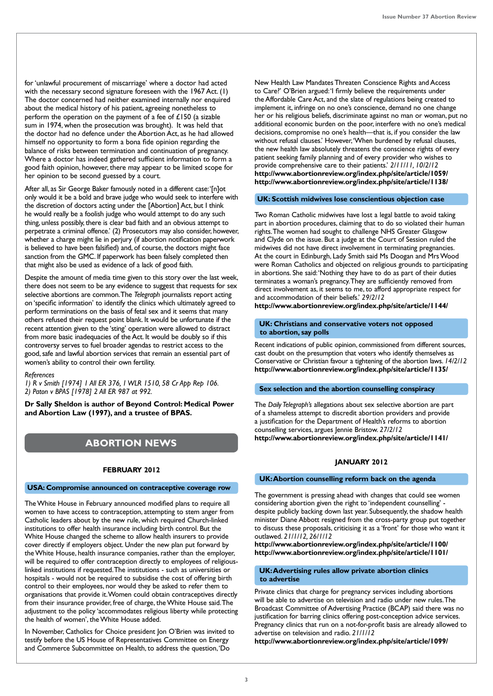for 'unlawful procurement of miscarriage' where a doctor had acted with the necessary second signature foreseen with the 1967 Act. (1) The doctor concerned had neither examined internally nor enquired about the medical history of his patient, agreeing nonetheless to perform the operation on the payment of a fee of  $\angle 150$  (a sizable sum in 1974, when the prosecution was brought). It was held that the doctor had no defence under the Abortion Act, as he had allowed himself no opportunity to form a bona fide opinion regarding the balance of risks between termination and continuation of pregnancy. Where a doctor has indeed gathered sufficient information to form a good faith opinion, however, there may appear to be limited scope for her opinion to be second guessed by a court.

After all, as Sir George Baker famously noted in a different case: '[n]ot only would it be a bold and brave judge who would seek to interfere with the discretion of doctors acting under the [Abortion] Act, but I think he would really be a foolish judge who would attempt to do any such thing, unless possibly, there is clear bad faith and an obvious attempt to perpetrate a criminal offence.' (2) Prosecutors may also consider, however, whether a charge might lie in perjury (if abortion notification paperwork is believed to have been falsified) and, of course, the doctors might face sanction from the GMC. If paperwork has been falsely completed then that might also be used as evidence of a lack of good faith.

Despite the amount of media time given to this story over the last week, there does not seem to be any evidence to suggest that requests for sex selective abortions are common. The *Telegraph* journalists report acting on 'specific information' to identify the clinics which ultimately agreed to perform terminations on the basis of fetal sex and it seems that many others refused their request point blank. It would be unfortunate if the recent attention given to the 'sting' operation were allowed to distract from more basic inadequacies of the Act. It would be doubly so if this controversy serves to fuel broader agendas to restrict access to the good, safe and lawful abortion services that remain an essential part of women's ability to control their own fertility.

# *References*

*1) R v Smith [1974] 1 All ER 376, 1 WLR 1510, 58 Cr App Rep 106. 2) Paton v BPAS [1978] 2 All ER 987 at 992.*

**Dr Sally Sheldon is author of Beyond Control: Medical Power and Abortion Law (1997), and a trustee of BPAS.** 

# **ABORTION NEWS**

# **FEBRUARY 2012**

### **USA: Compromise announced on contraceptive coverage row**

The White House in February announced modified plans to require all women to have access to contraception, attempting to stem anger from Catholic leaders about by the new rule, which required Church-linked institutions to offer health insurance including birth control. But the White House changed the scheme to allow health insurers to provide cover directly if employers object. Under the new plan put forward by the White House, health insurance companies, rather than the employer, will be required to offer contraception directly to employees of religiouslinked institutions if requested. The institutions - such as universities or hospitals - would not be required to subsidise the cost of offering birth control to their employees, nor would they be asked to refer them to organisations that provide it. Women could obtain contraceptives directly from their insurance provider, free of charge, the White House said. The adjustment to the policy 'accommodates religious liberty while protecting the health of women', the White House added.

In November, Catholics for Choice president Ion O'Brien was invited to testify before the US House of Representatives Committee on Energy and Commerce Subcommittee on Health, to address the question, 'Do

New Health Law Mandates Threaten Conscience Rights and Access to Care?' O'Brien argued: 'I firmly believe the requirements under the Affordable Care Act, and the slate of regulations being created to implement it, infringe on no one's conscience, demand no one change her or his religious beliefs, discriminate against no man or woman, put no additional economic burden on the poor, interfere with no one's medical decisions, compromise no one's health—that is, if you consider the law without refusal clauses.' However, 'When burdened by refusal clauses, the new health law absolutely threatens the conscience rights of every patient seeking family planning and of every provider who wishes to provide comprehensive care to their patients.' *2/11/11, 10/2/12* **http://www.abortionreview.org/index.php/site/article/1059/ http://www.abortionreview.org/index.php/site/article/1138/**

# **UK: Scottish midwives lose conscientious objection case**

Two Roman Catholic midwives have lost a legal battle to avoid taking part in abortion procedures, claiming that to do so violated their human rights. The women had sought to challenge NHS Greater Glasgow and Clyde on the issue. But a judge at the Court of Session ruled the midwives did not have direct involvement in terminating pregnancies. At the court in Edinburgh, Lady Smith said Ms Doogan and Mrs Wood were Roman Catholics and objected on religious grounds to participating in abortions. She said: 'Nothing they have to do as part of their duties terminates a woman's pregnancy. They are sufficiently removed from direct involvement as, it seems to me, to afford appropriate respect for and accommodation of their beliefs.' *29/2/12*

**http://www.abortionreview.org/index.php/site/article/1144/**

### **UK: Christians and conservative voters not opposed to abortion, say polls**

Recent indications of public opinion, commissioned from different sources, cast doubt on the presumption that voters who identify themselves as Conservative or Christian favour a tightening of the abortion laws. *14/2/12* **http://www.abortionreview.org/index.php/site/article/1135/**

# **Sex selection and the abortion counselling conspiracy**

The *Daily Telegraph's* allegations about sex selective abortion are part of a shameless attempt to discredit abortion providers and provide a justification for the Department of Health's reforms to abortion counselling services, argues Jennie Bristow. *27/2/12* **http://www.abortionreview.org/index.php/site/article/1141/**

# **JANUARY 2012**

### **UK: Abortion counselling reform back on the agenda**

The government is pressing ahead with changes that could see women considering abortion given the right to 'independent counselling' despite publicly backing down last year. Subsequently, the shadow health minister Diane Abbott resigned from the cross-party group put together to discuss these proposals, criticising it as a 'front' for those who want it outlawed. *21/1/12, 26/1/12*

**http://www.abortionreview.org/index.php/site/article/1100/ http://www.abortionreview.org/index.php/site/article/1101/**

# **UK: Advertising rules allow private abortion clinics to advertise**

Private clinics that charge for pregnancy services including abortions will be able to advertise on television and radio under new rules. The Broadcast Committee of Advertising Practice (BCAP) said there was no justification for barring clinics offering post-conception advice services. Pregnancy clinics that run on a not-for-profit basis are already allowed to advertise on television and radio. *21/1/12*

**http://www.abortionreview.org/index.php/site/article/1099/**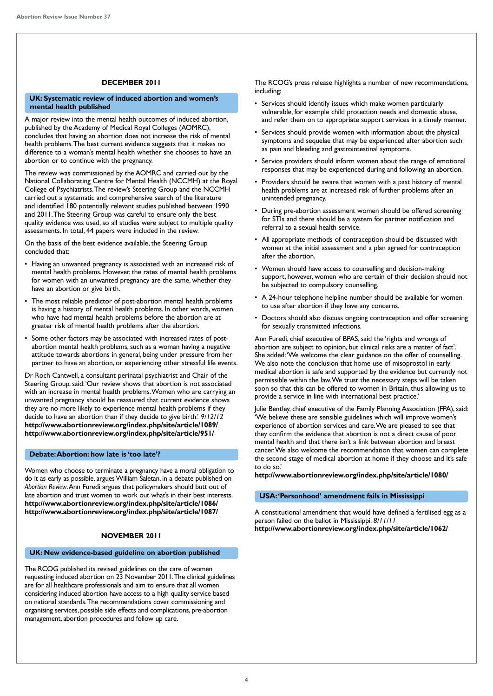# **DECEMBER 2011**

# **UK: Systematic review of induced abortion and women's mental health published**

A major review into the mental health outcomes of induced abortion, published by the Academy of Medical Royal Colleges (AOMRC), concludes that having an abortion does not increase the risk of mental health problems. The best current evidence suggests that it makes no difference to a woman's mental health whether she chooses to have an abortion or to continue with the pregnancy.

The review was commissioned by the AOMRC and carried out by the National Collaborating Centre for Mental Health (NCCMH) at the Royal College of Psychiatrists. The review's Steering Group and the NCCMH carried out a systematic and comprehensive search of the literature and identified 180 potentially relevant studies published between 1990 and 2011. The Steering Group was careful to ensure only the best quality evidence was used, so all studies were subject to multiple quality assessments. In total, 44 papers were included in the review.

On the basis of the best evidence available, the Steering Group concluded that:

- Having an unwanted pregnancy is associated with an increased risk of mental health problems. However, the rates of mental health problems for women with an unwanted pregnancy are the same, whether they have an abortion or give birth.
- The most reliable predictor of post-abortion mental health problems is having a history of mental health problems. In other words, women who have had mental health problems before the abortion are at greater risk of mental health problems after the abortion.
- Some other factors may be associated with increased rates of postabortion mental health problems, such as a woman having a negative attitude towards abortions in general, being under pressure from her partner to have an abortion, or experiencing other stressful life events.

Dr Roch Cantwell, a consultant perinatal psychiatrist and Chair of the Steering Group, said: 'Our review shows that abortion is not associated with an increase in mental health problems. Women who are carrying an unwanted pregnancy should be reassured that current evidence shows they are no more likely to experience mental health problems if they decide to have an abortion than if they decide to give birth.' *9/12/12* **http://www.abortionreview.org/index.php/site/article/1089/ http://www.abortionreview.org/index.php/site/article/951/**

# **Debate: Abortion: how late is 'too late'?**

Women who choose to terminate a pregnancy have a moral obligation to do it as early as possible, argues William Saletan, in a debate published on *Abortion Review*. Ann Furedi argues that policymakers should butt out of late abortion and trust women to work out what's in their best interests. **http://www.abortionreview.org/index.php/site/article/1086/ http://www.abortionreview.org/index.php/site/article/1087/**

# **NOVEMBER 2011**

# **UK: New evidence-based guideline on abortion published**

The RCOG published its revised guidelines on the care of women requesting induced abortion on 23 November 2011. The clinical guidelines are for all healthcare professionals and aim to ensure that all women considering induced abortion have access to a high quality service based on national standards. The recommendations cover commissioning and organising services, possible side effects and complications, pre-abortion management, abortion procedures and follow up care.

The RCOG's press release highlights a number of new recommendations, including:

- Services should identify issues which make women particularly vulnerable, for example child protection needs and domestic abuse, and refer them on to appropriate support services in a timely manner.
- Services should provide women with information about the physical symptoms and sequelae that may be experienced after abortion such as pain and bleeding and gastrointestinal symptoms.
- Service providers should inform women about the range of emotional responses that may be experienced during and following an abortion.
- Providers should be aware that women with a past history of mental health problems are at increased risk of further problems after an unintended pregnancy.
- During pre-abortion assessment women should be offered screening for STIs and there should be a system for partner notification and referral to a sexual health service.
- All appropriate methods of contraception should be discussed with women at the initial assessment and a plan agreed for contraception after the abortion.
- Women should have access to counselling and decision-making support, however, women who are certain of their decision should not be subjected to compulsory counselling.
- A 24-hour telephone helpline number should be available for women to use after abortion if they have any concerns.
- Doctors should also discuss ongoing contraception and offer screening for sexually transmitted infections.

Ann Furedi, chief executive of BPAS, said the 'rights and wrongs of abortion are subject to opinion, but clinical risks are a matter of fact'. She added: 'We welcome the clear guidance on the offer of counselling. We also note the conclusion that home use of misoprostol in early medical abortion is safe and supported by the evidence but currently not permissible within the law. We trust the necessary steps will be taken soon so that this can be offered to women in Britain, thus allowing us to provide a service in line with international best practice.'

Julie Bentley, chief executive of the Family Planning Association (FPA), said: 'We believe these are sensible guidelines which will improve women's experience of abortion services and care. We are pleased to see that they confirm the evidence that abortion is not a direct cause of poor mental health and that there isn't a link between abortion and breast cancer. We also welcome the recommendation that women can complete the second stage of medical abortion at home if they choose and it's safe to do so.'

**http://www.abortionreview.org/index.php/site/article/1080/**

# **USA: 'Personhood' amendment fails in Mississippi**

A constitutional amendment that would have defined a fertilised egg as a person failed on the ballot in Mississippi. *8/11/11* **http://www.abortionreview.org/index.php/site/article/1062/**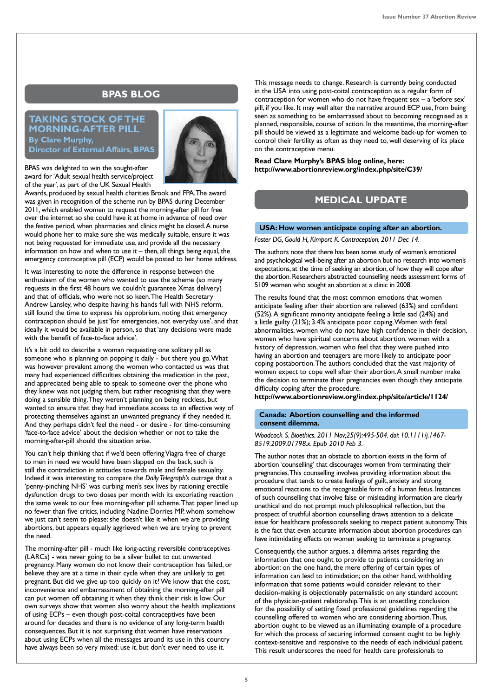# **BPAS BLOG**

# **TAKING STOCK OF THE MORNING-AFTER PILL By Clare Murphy, Director of External Affairs, BPAS**



BPAS was delighted to win the sought-after award for 'Adult sexual health service/project of the year', as part of the UK Sexual Health

Awards, produced by sexual health charities Brook and FPA. The award was given in recognition of the scheme run by BPAS during December 2011, which enabled women to request the morning-after pill for free over the internet so she could have it at home in advance of need over the festive period, when pharmacies and clinics might be closed. A nurse would phone her to make sure she was medically suitable, ensure it was not being requested for immediate use, and provide all the necessary information on how and when to use it – then, all things being equal, the emergency contraceptive pill (ECP) would be posted to her home address.

It was interesting to note the difference in response between the enthusiasm of the women who wanted to use the scheme (so many requests in the first 48 hours we couldn't guarantee Xmas delivery) and that of officials, who were not so keen. The Health Secretary Andrew Lansley, who despite having his hands full with NHS reform, still found the time to express his opprobrium, noting that emergency contraception should be just 'for emergencies, not everyday use', and that ideally it would be available in person, so that 'any decisions were made with the benefit of face-to-face advice'.

It's a bit odd to describe a woman requesting one solitary pill as someone who is planning on popping it daily - but there you go. What was however prevalent among the women who contacted us was that many had experienced difficulties obtaining the medication in the past, and appreciated being able to speak to someone over the phone who they knew was not judging them, but rather recognising that they were doing a sensible thing. They weren't planning on being reckless, but wanted to ensure that they had immediate access to an effective way of protecting themselves against an unwanted pregnancy if they needed it. And they perhaps didn't feel the need - or desire - for time-consuming 'face-to-face advice' about the decision whether or not to take the morning-after-pill should the situation arise.

You can't help thinking that if we'd been offering Viagra free of charge to men in need we would have been slapped on the back, such is still the contradiction in attitudes towards male and female sexuality. Indeed it was interesting to compare the *Daily Telegraph's* outrage that a 'penny-pinching NHS' was curbing men's sex lives by rationing erectile dysfunction drugs to two doses per month with its excoriating reaction the same week to our free morning-after pill scheme. That paper lined up no fewer than five critics, including Nadine Dorries MP, whom somehow we just can't seem to please: she doesn't like it when we are providing abortions, but appears equally aggrieved when we are trying to prevent the need.

The morning-after pill - much like long-acting reversible contraceptives (LARCs) - was never going to be a silver bullet to cut unwanted pregnancy. Many women do not know their contraception has failed, or believe they are at a time in their cycle when they are unlikely to get pregnant. But did we give up too quickly on it? We know that the cost, inconvenience and embarrassment of obtaining the morning-after pill can put women off obtaining it when they think their risk is low. Our own surveys show that women also worry about the health implications of using ECPs – even though post-coital contraceptives have been around for decades and there is no evidence of any long-term health consequences. But it is not surprising that women have reservations about using ECPs when all the messages around its use in this country have always been so very mixed: use it, but don't ever need to use it.

This message needs to change. Research is currently being conducted in the USA into using post-coital contraception as a regular form of contraception for women who do not have frequent sex – a 'before sex' pill, if you like. It may well alter the narrative around ECP use, from being seen as something to be embarrassed about to becoming recognised as a planned, responsible, course of action. In the meantime, the morning-after pill should be viewed as a legitimate and welcome back-up for women to control their fertility as often as they need to, well deserving of its place on the contraceptive menu.

**Read Clare Murphy's BPAS blog online, here: http://www.abortionreview.org/index.php/site/C39/**

# **MEDICAL UPDATE**

# **USA: How women anticipate coping after an abortion.**

*Foster DG, Gould H, Kimport K. Contraception. 2011 Dec 14.* 

The authors note that there has been some study of women's emotional and psychological well-being after an abortion but no research into women's expectations, at the time of seeking an abortion, of how they will cope after the abortion. Researchers abstracted counselling needs assessment forms of 5109 women who sought an abortion at a clinic in 2008.

The results found that the most common emotions that women anticipate feeling after their abortion are relieved (63%) and confident (52%). A significant minority anticipate feeling a little sad (24%) and a little guilty (21%); 3.4% anticipate poor coping. Women with fetal abnormalities, women who do not have high confidence in their decision, women who have spiritual concerns about abortion, women with a history of depression, women who feel that they were pushed into having an abortion and teenagers are more likely to anticipate poor coping postabortion. The authors concluded that the vast majority of women expect to cope well after their abortion. A small number make the decision to terminate their pregnancies even though they anticipate difficulty coping after the procedure.

**http://www.abortionreview.org/index.php/site/article/1124/**

# **Canada: Abortion counselling and the informed consent dilemma.**

*Woodcock S. Bioethics. 2011 Nov;25(9):495-504. doi: 10.1111/j.1467- 8519.2009.01798.x. Epub 2010 Feb 3.*

The author notes that an obstacle to abortion exists in the form of abortion 'counselling' that discourages women from terminating their pregnancies. This counselling involves providing information about the procedure that tends to create feelings of guilt, anxiety and strong emotional reactions to the recognisable form of a human fetus. Instances of such counselling that involve false or misleading information are clearly unethical and do not prompt much philosophical reflection, but the prospect of truthful abortion counselling draws attention to a delicate issue for healthcare professionals seeking to respect patient autonomy. This is the fact that even accurate information about abortion procedures can have intimidating effects on women seeking to terminate a pregnancy.

Consequently, the author argues, a dilemma arises regarding the information that one ought to provide to patients considering an abortion: on the one hand, the mere offering of certain types of information can lead to intimidation; on the other hand, withholding information that some patients would consider relevant to their decision-making is objectionably paternalistic on any standard account of the physician-patient relationship. This is an unsettling conclusion for the possibility of setting fixed professional guidelines regarding the counselling offered to women who are considering abortion. Thus, abortion ought to be viewed as an illuminating example of a procedure for which the process of securing informed consent ought to be highly context-sensitive and responsive to the needs of each individual patient. This result underscores the need for health care professionals to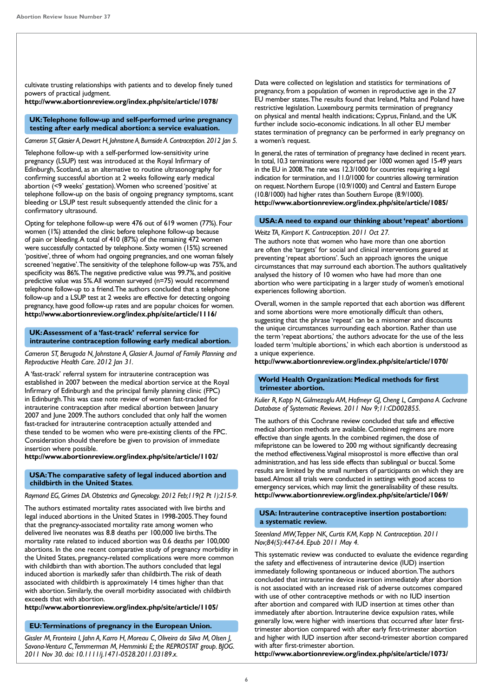cultivate trusting relationships with patients and to develop finely tuned powers of practical judgment.

**http://www.abortionreview.org/index.php/site/article/1078/**

 **UK: Telephone follow-up and self-performed urine pregnancy testing after early medical abortion: a service evaluation.**

*Cameron ST, Glasier A, Dewart H, Johnstone A, Burnside A. Contraception. 2012 Jan 5.* 

Telephone follow-up with a self-performed low-sensitivity urine pregnancy (LSUP) test was introduced at the Royal Infirmary of Edinburgh, Scotland, as an alternative to routine ultrasonography for confirming successful abortion at 2 weeks following early medical abortion (<9 weeks' gestation). Women who screened 'positive' at telephone follow-up on the basis of ongoing pregnancy symptoms, scant bleeding or LSUP test result subsequently attended the clinic for a confirmatory ultrasound.

Opting for telephone follow-up were 476 out of 619 women (77%). Four women (1%) attended the clinic before telephone follow-up because of pain or bleeding. A total of 410 (87%) of the remaining 472 women were successfully contacted by telephone. Sixty women (15%) screened 'positive', three of whom had ongoing pregnancies, and one woman falsely screened 'negative'. The sensitivity of the telephone follow-up was 75%, and specificity was 86%. The negative predictive value was 99.7%, and positive predictive value was 5%. All women surveyed (n=75) would recommend telephone follow-up to a friend. The authors concluded that a telephone follow-up and a LSUP test at 2 weeks are effective for detecting ongoing pregnancy, have good follow-up rates and are popular choices for women. **http://www.abortionreview.org/index.php/site/article/1116/**

# **UK: Assessment of a 'fast-track' referral service for intrauterine contraception following early medical abortion.**

*Cameron ST, Berugoda N, Johnstone A, Glasier A. Journal of Family Planning and Reproductive Health Care. 2012 Jan 31.* 

A 'fast-track' referral system for intrauterine contraception was established in 2007 between the medical abortion service at the Royal Infirmary of Edinburgh and the principal family planning clinic (FPC) in Edinburgh. This was case note review of women fast-tracked for intrauterine contraception after medical abortion between January 2007 and June 2009. The authors concluded that only half the women fast-tracked for intrauterine contraception actually attended and these tended to be women who were pre-existing clients of the FPC. Consideration should therefore be given to provision of immediate insertion where possible.

# **http://www.abortionreview.org/index.php/site/article/1102/**

# **USA: The comparative safety of legal induced abortion and childbirth in the United States**.

*Raymond EG, Grimes DA. Obstetrics and Gynecology. 2012 Feb;119(2 Pt 1):215-9.*

The authors estimated mortality rates associated with live births and legal induced abortions in the United States in 1998-2005. They found that the pregnancy-associated mortality rate among women who delivered live neonates was 8.8 deaths per 100,000 live births. The mortality rate related to induced abortion was 0.6 deaths per 100,000 abortions. In the one recent comparative study of pregnancy morbidity in the United States, pregnancy-related complications were more common with childbirth than with abortion. The authors concluded that legal induced abortion is markedly safer than childbirth. The risk of death associated with childbirth is approximately 14 times higher than that with abortion. Similarly, the overall morbidity associated with childbirth exceeds that with abortion.

**http://www.abortionreview.org/index.php/site/article/1105/**

# **EU: Terminations of pregnancy in the European Union.**

*Gissler M, Fronteira I, Jahn A, Karro H, Moreau C, Oliveira da Silva M, Olsen J, Savona-Ventura C, Temmerman M, Hemminki E; the REPROSTAT group. BJOG. 2011 Nov 30. doi: 10.1111/j.1471-0528.2011.03189.x.*

Data were collected on legislation and statistics for terminations of pregnancy, from a population of women in reproductive age in the 27 EU member states. The results found that Ireland, Malta and Poland have restrictive legislation. Luxembourg permits termination of pregnancy on physical and mental health indications; Cyprus, Finland, and the UK further include socio-economic indications. In all other EU member states termination of pregnancy can be performed in early pregnancy on a women's request.

In general, the rates of termination of pregnancy have declined in recent years. In total, 10.3 terminations were reported per 1000 women aged 15-49 years in the EU in 2008. The rate was 12.3/1000 for countries requiring a legal indication for termination, and 11.0/1000 for countries allowing termination on request. Northern Europe (10.9/1000) and Central and Eastern Europe (10.8/1000) had higher rates than Southern Europe (8.9/1000). **http://www.abortionreview.org/index.php/site/article/1085/**

# **USA: A need to expand our thinking about 'repeat' abortions**

*Weitz TA, Kimport K. Contraception. 2011 Oct 27.*

The authors note that women who have more than one abortion are often the 'targets' for social and clinical interventions geared at preventing 'repeat abortions'. Such an approach ignores the unique circumstances that may surround each abortion. The authors qualitatively analysed the history of 10 women who have had more than one abortion who were participating in a larger study of women's emotional experiences following abortion.

Overall, women in the sample reported that each abortion was different and some abortions were more emotionally difficult than others, suggesting that the phrase 'repeat' can be a misnomer and discounts the unique circumstances surrounding each abortion. Rather than use the term 'repeat abortions,' the authors advocate for the use of the less loaded term 'multiple abortions,' in which each abortion is understood as a unique experience.

**http://www.abortionreview.org/index.php/site/article/1070/**

# **World Health Organization: Medical methods for first trimester abortion.**

*Kulier R, Kapp N, Gülmezoglu AM, Hofmeyr GJ, Cheng L, Campana A. Cochrane Database of Systematic Reviews. 2011 Nov 9;11:CD002855.*

The authors of this Cochrane review concluded that safe and effective medical abortion methods are available. Combined regimens are more effective than single agents. In the combined regimen, the dose of mifepristone can be lowered to 200 mg without significantly decreasing the method effectiveness. Vaginal misoprostol is more effective than oral administration, and has less side effects than sublingual or buccal. Some results are limited by the small numbers of participants on which they are based. Almost all trials were conducted in settings with good access to emergency services, which may limit the generalisability of these results. **http://www.abortionreview.org/index.php/site/article/1069/**

# **USA: Intrauterine contraceptive insertion postabortion: a systematic review.**

### *Steenland MW, Tepper NK, Curtis KM, Kapp N. Contraception. 2011 Nov;84(5):447-64. Epub 2011 May 4.*

This systematic review was conducted to evaluate the evidence regarding the safety and effectiveness of intrauterine device (IUD) insertion immediately following spontaneous or induced abortion. The authors concluded that intrauterine device insertion immediately after abortion is not associated with an increased risk of adverse outcomes compared with use of other contraceptive methods or with no IUD insertion after abortion and compared with IUD insertion at times other than immediately after abortion. Intrauterine device expulsion rates, while generally low, were higher with insertions that occurred after later firsttrimester abortion compared with after early first-trimester abortion and higher with IUD insertion after second-trimester abortion compared with after first-trimester abortion.

**http://www.abortionreview.org/index.php/site/article/1073/**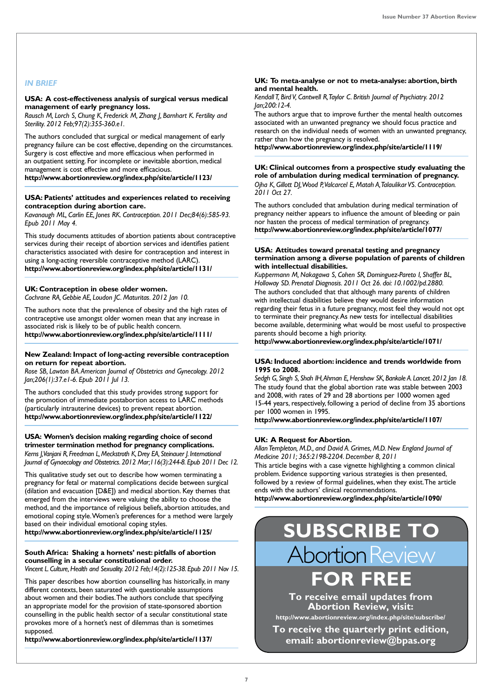# *IN BRIEF*

# **USA: A cost-effectiveness analysis of surgical versus medical management of early pregnancy loss.**

*Rausch M, Lorch S, Chung K, Frederick M, Zhang J, Barnhart K. Fertility and Sterility. 2012 Feb;97(2):355-360.e1.* 

The authors concluded that surgical or medical management of early pregnancy failure can be cost effective, depending on the circumstances. Surgery is cost effective and more efficacious when performed in an outpatient setting. For incomplete or inevitable abortion, medical management is cost effective and more efficacious. **http://www.abortionreview.org/index.php/site/article/1123/**

# **USA: Patients' attitudes and experiences related to receiving contraception during abortion care.**

*Kavanaugh ML, Carlin EE, Jones RK. Contraception. 2011 Dec;84(6):585-93. Epub 2011 May 4.* 

This study documents attitudes of abortion patients about contraceptive services during their receipt of abortion services and identifies patient characteristics associated with desire for contraception and interest in using a long-acting reversible contraceptive method (LARC). **http://www.abortionreview.org/index.php/site/article/1131/**

### **UK: Contraception in obese older women.**  *Cochrane RA, Gebbie AE, Loudon JC. Maturitas. 2012 Jan 10.*

The authors note that the prevalence of obesity and the high rates of contraceptive use amongst older women mean that any increase in associated risk is likely to be of public health concern. **http://www.abortionreview.org/index.php/site/article/1111/**

### **New Zealand: Impact of long-acting reversible contraception on return for repeat abortion.**

*Rose SB, Lawton BA. American Journal of Obstetrics and Gynecology. 2012 Jan;206(1):37.e1-6. Epub 2011 Jul 13.* 

The authors concluded that this study provides strong support for the promotion of immediate postabortion access to LARC methods (particularly intrauterine devices) to prevent repeat abortion. **http://www.abortionreview.org/index.php/site/article/1122/**

# **USA: Women's decision making regarding choice of second trimester termination method for pregnancy complications.** *Kerns J, Vanjani R, Freedman L, Meckstroth K, Drey EA, Steinauer J. International Journal of Gynaecology and Obstetrics. 2012 Mar;116(3):244-8. Epub 2011 Dec 12.*

This qualitative study set out to describe how women terminating a pregnancy for fetal or maternal complications decide between surgical (dilation and evacuation [D&E]) and medical abortion. Key themes that emerged from the interviews were valuing the ability to choose the method, and the importance of religious beliefs, abortion attitudes, and emotional coping style. Women's preferences for a method were largely based on their individual emotional coping styles. **http://www.abortionreview.org/index.php/site/article/1125/**

# **South Africa: Shaking a hornets' nest: pitfalls of abortion counselling in a secular constitutional order.**

*Vincent L. Culture, Health and Sexuality. 2012 Feb;14(2):125-38. Epub 2011 Nov 15.* 

This paper describes how abortion counselling has historically, in many different contexts, been saturated with questionable assumptions about women and their bodies. The authors conclude that specifying an appropriate model for the provision of state-sponsored abortion counselling in the public health sector of a secular constitutional state provokes more of a hornet's nest of dilemmas than is sometimes supposed.

**http://www.abortionreview.org/index.php/site/article/1137/**

### **UK: To meta-analyse or not to meta-analyse: abortion, birth and mental health.**

*Kendall T, Bird V, Cantwell R, Taylor C. British Journal of Psychiatry. 2012 Jan;200:12-4.*

The authors argue that to improve further the mental health outcomes associated with an unwanted pregnancy we should focus practice and research on the individual needs of women with an unwanted pregnancy, rather than how the pregnancy is resolved.

**http://www.abortionreview.org/index.php/site/article/1119/**

# **UK: Clinical outcomes from a prospective study evaluating the role of ambulation during medical termination of pregnancy.**  *Ojha K, Gillott DJ, Wood P, Valcarcel E, Matah A, Talaulikar VS. Contraception.*

*2011 Oct 27.* 

The authors concluded that ambulation during medical termination of pregnancy neither appears to influence the amount of bleeding or pain nor hasten the process of medical termination of pregnancy. **http://www.abortionreview.org/index.php/site/article/1077/**

# **USA: Attitudes toward prenatal testing and pregnancy termination among a diverse population of parents of children with intellectual disabilities.**

*Kuppermann M, Nakagawa S, Cohen SR, Dominguez-Pareto I, Shaffer BL, Holloway SD. Prenatal Diagnosis. 2011 Oct 26. doi: 10.1002/pd.2880.*  The authors concluded that that although many parents of children with intellectual disabilities believe they would desire information regarding their fetus in a future pregnancy, most feel they would not opt to terminate their pregnancy. As new tests for intellectual disabilities become available, determining what would be most useful to prospective parents should become a high priority.

**http://www.abortionreview.org/index.php/site/article/1071/**

# **USA: Induced abortion: incidence and trends worldwide from 1995 to 2008.**

*Sedgh G, Singh S, Shah IH, Ahman E, Henshaw SK, Bankole A. Lancet. 2012 Jan 18.*  The study found that the global abortion rate was stable between 2003 and 2008, with rates of 29 and 28 abortions per 1000 women aged 15-44 years, respectively, following a period of decline from 35 abortions per 1000 women in 1995.

**http://www.abortionreview.org/index.php/site/article/1107/**

# **UK: A Request for Abortion.**

*Allan Templeton, M.D., and David A. Grimes, M.D. New England Journal of Medicine 2011; 365:2198-2204. December 8, 2011*

This article begins with a case vignette highlighting a common clinical problem. Evidence supporting various strategies is then presented, followed by a review of formal guidelines, when they exist. The article ends with the authors' clinical recommendations. **http://www.abortionreview.org/index.php/site/article/1090/**

# **SUBSCRIBE TO Abortion Review**

**FOR FREE**

**To receive email updates from Abortion Review, visit:**

**http://www.abortionreview.org/index.php/site/subscribe/**

**To receive the quarterly print edition, email: abortionreview@bpas.org**